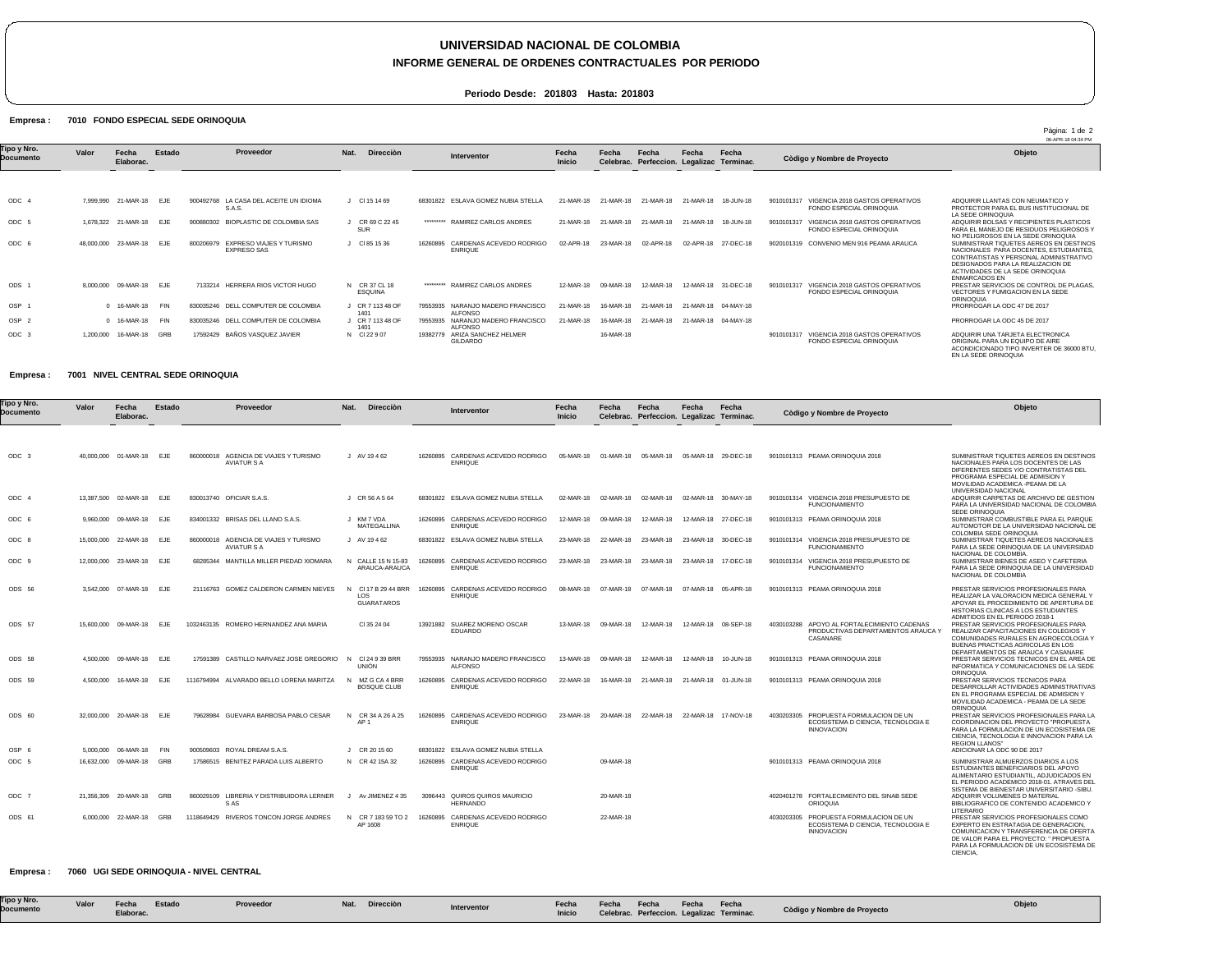# **UNIVERSIDAD NACIONAL DE COLOMBIA**

### **INFORME GENERAL DE ORDENES CONTRACTUALES POR PERIODO**

Pàgina: 1 de 2

**Periodo Desde: 201803 Hasta: 201803**

#### Empresa : 7010 FONDO ESPECIAL SEDE ORINOQUIA

|                          |           |                          |            |                                                             |                             |           |                                            |                 |           |                                                    |                     |                     |                                                                           | 06-APR-18 04:34 PM                                                                                                                                                                                                           |
|--------------------------|-----------|--------------------------|------------|-------------------------------------------------------------|-----------------------------|-----------|--------------------------------------------|-----------------|-----------|----------------------------------------------------|---------------------|---------------------|---------------------------------------------------------------------------|------------------------------------------------------------------------------------------------------------------------------------------------------------------------------------------------------------------------------|
| Tipo y Nro.<br>Documento | Valor     | Fecha<br>Elaborac.       | Estado     | Proveedor                                                   | Nat.<br><b>Dirección</b>    |           | Interventor                                | Fecha<br>Inicio | Fecha     | Fecha<br>Celebrac. Perfeccion. Legalizac Terminac. | Fecha               | Fecha               | Còdigo y Nombre de Proyecto                                               | Objeto                                                                                                                                                                                                                       |
|                          |           |                          |            |                                                             |                             |           |                                            |                 |           |                                                    |                     |                     |                                                                           |                                                                                                                                                                                                                              |
| ODC <sub>4</sub>         |           | 7.999.990 21-MAR-18 EJE  |            | LA CASA DEL ACEITE UN IDIOMA<br>900492768<br>S.A.S.         | CI 15 14 69                 |           | 68301822 ESLAVA GOMEZ NUBIA STELLA         | 21-MAR-18       | 21-MAR-18 | 21-MAR-18                                          | 21-MAR-18           | 18-JUN-18           | VIGENCIA 2018 GASTOS OPERATIVOS<br>9010101317<br>FONDO ESPECIAL ORINOQUIA | ADQUIRIR LLANTAS CON NEUMATICO Y<br>PROTECTOR PARA EL BUS INSTITUCIONAL DE<br>LA SEDE ORINOQUIA                                                                                                                              |
| ODC 5                    |           | 1.678.322 21-MAR-18 EJE  |            | <b>BIOPLASTIC DE COLOMBIA SAS</b><br>900880302              | CR 69 C 22 45<br><b>SUR</b> | ********* | RAMIREZ CARLOS ANDRES                      | 21-MAR-18       | 21-MAR-18 | 21-MAR-18                                          | 21-MAR-18 18-JUN-18 |                     | VIGENCIA 2018 GASTOS OPERATIVOS<br>9010101317<br>FONDO ESPECIAL ORINOQUIA | ADQUIRIR BOLSAS Y RECIPIENTES PLASTICOS<br>PARA EL MANEJO DE RESIDUOS PELIGROSOS Y<br>NO PELIGROSOS EN LA SEDE ORINOQUIA                                                                                                     |
| ODC 6                    |           | 48.000.000 23-MAR-18 EJE |            | EXPRESO VIAJES Y TURISMO<br>800206979<br><b>EXPRESO SAS</b> | CI 85 15 36                 | 16260895  | CARDENAS ACEVEDO RODRIGO<br><b>ENRIQUE</b> | 02-APR-18       | 23-MAR-18 | 02-APR-18                                          |                     | 02-APR-18 27-DEC-18 | 9020101319 CONVENIO MEN 916 PEAMA ARAUCA                                  | SUMINISTRAR TIQUETES AEREOS EN DESTINOS<br>NACIONALES PARA DOCENTES, ESTUDIANTES.<br>CONTRATISTAS Y PERSONAL ADMINISTRATIVO<br>DESIGNADOS PARA LA REALIZACION DE<br>ACTIVIDADES DE LA SEDE ORINOQUIA<br><b>ENMARCADOS EN</b> |
| ODS <sub>1</sub>         | 8.000.000 | 09-MAR-18 EJE            |            | 7133214 HERRERA RIOS VICTOR HUGO                            | N CR 37 CL 18<br>ESQUINA    | ********* | RAMIREZ CARLOS ANDRES                      | 12-MAR-18       | 09-MAR-18 | 12-MAR-18                                          |                     | 12-MAR-18 31-DEC-18 | VIGENCIA 2018 GASTOS OPERATIVOS<br>9010101317<br>FONDO ESPECIAL ORINOQUIA | PRESTAR SERVICIOS DE CONTROL DE PLAGAS,<br>VECTORES Y FUMIGACION EN LA SEDE<br>ORINOQUIA                                                                                                                                     |
| OSP ·                    |           | 0 16-MAR-18              | <b>FIN</b> | DELL COMPUTER DE COLOMBIA<br>830035246                      | CR 7 113 48 OF<br>1401      | 79553935  | NARANJO MADERO FRANCISCO<br><b>ALFONSO</b> | 21-MAR-18       | 16-MAR-18 | 21-MAR-18                                          |                     | 21-MAR-18 04-MAY-18 |                                                                           | PRORROGAR LA ODC 47 DE 2017                                                                                                                                                                                                  |
| OSP <sub>2</sub>         |           | 0 16-MAR-18              | <b>FIN</b> | DELL COMPUTER DE COLOMBIA<br>830035246                      | CR 7 113 48 OF<br>1401      | 79553935  | NARANJO MADERO FRANCISCO<br><b>ALFONSO</b> | 21-MAR-18       | 16-MAR-18 | 21-MAR-18                                          | 21-MAR-18 04-MAY-18 |                     |                                                                           | PRORROGAR LA ODC 45 DE 2017                                                                                                                                                                                                  |
| ODC <sub>3</sub>         | 1.200.000 | 16-MAR-18                | <b>GRB</b> | BAÑOS VASQUEZ JAVIER<br>17592429                            | N CI 22 9 07                | 19382779  | ARIZA SANCHEZ HELMER<br>GILDARDO           |                 | 16-MAR-18 |                                                    |                     |                     | 9010101317 VIGENCIA 2018 GASTOS OPERATIVOS<br>FONDO ESPECIAL ORINOQUIA    | ADQUIRIR UNA TARJETA ELECTRONICA<br>ORIGINAL PARA UN EQUIPO DE AIRE<br>ACONDICIONADO TIPO INVERTER DE 36000 BTU.<br>EN LA SEDE ORINOQUIA                                                                                     |

#### Empresa : 7001 NIVEL CENTRAL SEDE ORINOQUIA

| Tipo y Nro.<br>Documento | Valor     | Fecha<br>Elaborac.       | Estado     | Proveedor                                                   | <b>Dirección</b><br>Nat.                                  |          | Interventor                                         | Fecha<br><b>Inicio</b> | Fecha     | Fecha<br>Celebrac. Perfeccion. Legalizac Terminac. | <b>Fecha</b> | Fecha               | Còdigo y Nombre de Proyecto                                                                          | Objeto                                                                                                                                                                                                                  |
|--------------------------|-----------|--------------------------|------------|-------------------------------------------------------------|-----------------------------------------------------------|----------|-----------------------------------------------------|------------------------|-----------|----------------------------------------------------|--------------|---------------------|------------------------------------------------------------------------------------------------------|-------------------------------------------------------------------------------------------------------------------------------------------------------------------------------------------------------------------------|
|                          |           |                          |            |                                                             |                                                           |          |                                                     |                        |           |                                                    |              |                     |                                                                                                      |                                                                                                                                                                                                                         |
| ODC 3                    |           | 40.000.000 01-MAR-18 EJE |            | 860000018 AGENCIA DE VIAJES Y TURISMO<br><b>AVIATUR S A</b> | J AV 19462                                                |          | 16260895 CARDENAS ACEVEDO RODRIGO<br><b>ENRIQUE</b> | 05-MAR-18              | 01-MAR-18 | 05-MAR-18                                          |              | 05-MAR-18 29-DEC-18 | 9010101313 PEAMA ORINOQUIA 2018                                                                      | SUMINISTRAR TIQUETES AEREOS EN DESTINOS<br>NACIONALES PARA LOS DOCENTES DE LAS<br>DIFERENTES SEDES Y/O CONTRATISTAS DEL<br>PROGRAMA ESPECIAL DE ADMISION Y<br>MOVILIDAD ACADEMICA - PEAMA DE LA                         |
| ODC 4                    |           | 13,387,500 02-MAR-18     | EJE        | 830013740 OFICIAR S.A.S.                                    | J CR 56 A 5 64                                            |          | 68301822 ESLAVA GOMEZ NUBIA STELLA                  | 02-MAR-18              | 02-MAR-18 | 02-MAR-18                                          |              | 02-MAR-18 30-MAY-18 | 9010101314 VIGENCIA 2018 PRESUPUESTO DE<br><b>FUNCIONAMIENTO</b>                                     | UNIVERSIDAD NACIONAL<br>ADQUIRIR CARPETAS DE ARCHIVO DE GESTION<br>PARA LA UNIVERSIDAD NACIONAL DE COLOMBIA                                                                                                             |
| ODC 6                    | 9.960.000 | 09-MAR-18                | <b>EJE</b> | 834001332 BRISAS DEL LLANO S.A.S.                           | J KM 7 VDA<br>MATEGALLINA                                 |          | 16260895 CARDENAS ACEVEDO RODRIGO<br><b>ENRIQUE</b> | 12-MAR-18              | 09-MAR-18 | 12-MAR-18                                          | 12-MAR-18    | 27-DEC-18           | 9010101313 PEAMA ORINOQUIA 2018                                                                      | SEDE ORINOQUIA<br>SUMINISTRAR COMBUSTIBLE PARA EL PARQUE<br>AUTOMOTOR DE LA UNIVERSIDAD NACIONAL DE                                                                                                                     |
| ODC 8                    |           | 15,000,000 22-MAR-18     | EJE        | 860000018 AGENCIA DE VIAJES Y TURISMO<br><b>AVIATUR S A</b> | J AV 19462                                                |          | 68301822 ESLAVA GOMEZ NUBIA STELLA                  | 23-MAR-18              | 22-MAR-18 | 23-MAR-18                                          | 23-MAR-18    | 30-DEC-18           | 9010101314 VIGENCIA 2018 PRESUPUESTO DE<br><b>FUNCIONAMIENTO</b>                                     | COLOMBIA SEDE ORINOQUIA<br>SUMINISTRAR TIQUETES AEREOS NACIONALES<br>PARA LA SEDE ORINOQUIA DE LA UNIVERSIDAD                                                                                                           |
| ODC <sub>9</sub>         |           | 12.000.000 23-MAR-18     | EJE        | 68285344 MANTILLA MILLER PIEDAD XIOMARA                     | N CALLE 15 N 15-83<br>ARAUCA-ARAUCA                       |          | 16260895 CARDENAS ACEVEDO RODRIGO<br><b>ENRIQUE</b> | 23-MAR-18              | 23-MAR-18 | 23-MAR-18                                          | 23-MAR-18    | 17-DEC-18           | 9010101314 VIGENCIA 2018 PRESUPUESTO DE<br><b>FUNCIONAMIENTO</b>                                     | NACIONAL DE COLOMBIA.<br>SUMINISTRAR BIENES DE ASEO Y CAFETERIA<br>PARA LA SEDE ORINOQUIA DE LA UNIVERSIDAD<br>NACIONAL DE COLOMBIA                                                                                     |
| ODS 56                   |           | 3.542.000 07-MAR-18      | <b>EJE</b> | 21116763 GOMEZ CALDERON CARMEN NIEVES                       | CI 17 B 29 44 BRR<br>N<br><b>LOS</b><br><b>GUARATAROS</b> |          | 16260895 CARDENAS ACEVEDO RODRIGO<br><b>ENRIQUE</b> | 08-MAR-18              | 07-MAR-18 | 07-MAR-18                                          | 07-MAR-18    | 05-APR-18           | 9010101313 PEAMA ORINOQUIA 2018                                                                      | PRESTAR SERVICIOS PROFESIONALES PARA<br>REALIZAR LA VALORACION MEDICA GENERAL Y<br>APOYAR EL PROCEDIMIENTO DE APERTURA DE<br>HISTORIAS CLINICAS A LOS ESTUDIANTES                                                       |
| ODS 57                   |           | 15,600,000 09-MAR-18     | EJF        | 1032463135 ROMERO HERNANDEZ ANA MARIA                       | CI 35 24 04                                               |          | 13921882 SUAREZ MORENO OSCAR<br><b>EDUARDO</b>      | 13-MAR-18              | 09-MAR-18 | 12-MAR-18                                          | 12-MAR-18    | 08-SEP-18           | 4030103288 APOYO AL FORTALECIMIENTO CADENAS<br>PRODUCTIVAS DEPARTAMENTOS ARAUCA Y<br>CASANARE        | ADMITIDOS EN EL PERIODO 2018-1<br>PRESTAR SERVICIOS PROFESIONALES PARA<br>REALIZAR CAPACITACIONES EN COLEGIOS Y<br>COMUNIDADES RURALES EN AGROECOLOGIA<br>BUENAS PRACTICAS AGRICOLAS EN LOS                             |
| ODS 58                   |           | 4.500.000 09-MAR-18      | <b>EJE</b> | 17591389 CASTILLO NARVAEZ JOSE GREGORIO                     | CI 24 9 39 BRR<br>N<br><b>UNIÓN</b>                       |          | 79553935 NARANJO MADERO FRANCISCO<br><b>ALFONSO</b> | 13-MAR-18              | 09-MAR-18 | 12-MAR-18                                          | 12-MAR-18    | 10-JUN-18           | 9010101313 PEAMA ORINOQUIA 2018                                                                      | DEPARTAMENTOS DE ARAUCA Y CASANARE<br>PRESTAR SERVICIOS TECNICOS EN EL AREA DE<br>INFORMATICA Y COMUNICACIONES DE LA SEDE                                                                                               |
| ODS 59                   |           | 4.500.000 16-MAR-18      | EJE        | 1116794994 ALVARADO BELLO LORENA MARITZA                    | MZ G CA 4 BRR<br><b>N</b><br><b>BOSQUE CLUB</b>           | 16260895 | CARDENAS ACEVEDO RODRIGO<br><b>ENRIQUE</b>          | 22-MAR-18              | 16-MAR-18 | 21-MAR-18                                          | 21-MAR-18    | 01-JUN-18           | 9010101313 PEAMA ORINOQUIA 2018                                                                      | ORINOQUIA<br>PRESTAR SERVICIOS TECNICOS PARA<br>DESARROLLAR ACTIVIDADES ADMINISTRATIVAS<br>EN EL PROGRAMA ESPECIAL DE ADMISION Y<br>MOVILIDAD ACADEMICA - PEAMA DE LA SEDE                                              |
| ODS 60                   |           | 32.000.000 20-MAR-18     | EJE        | 79628984 GUEVARA BARBOSA PABLO CESAR                        | N CR 34 A 26 A 25<br>AP <sub>1</sub>                      | 16260895 | CARDENAS ACEVEDO RODRIGO<br><b>ENRIQUE</b>          | 23-MAR-18              | 20-MAR-18 | 22-MAR-18                                          | 22-MAR-18    | 17-NOV-18           | PROPUESTA FORMULACION DE UN<br>4030203305<br>ECOSISTEMA D CIENCIA. TECNOLOGIA E<br><b>INNOVACION</b> | ORINOQUIA<br>PRESTAR SERVICIOS PROFESIONALES PARA LA<br>COORDINACION DEL PROYECTO "PROPUESTA<br>PARA LA FORMULACION DE UN ECOSISTEMA DE<br>CIENCIA. TECNOLOGIA E INNOVACION PARA LA                                     |
| OSP 6                    |           | 5.000.000 06-MAR-18      | <b>FIN</b> | 900509603 ROYAL DREAM S.A.S.                                | J CR 20 15 60                                             |          | 68301822 ESLAVA GOMEZ NUBIA STELLA                  |                        |           |                                                    |              |                     |                                                                                                      | <b>REGION LLANOS"</b><br>ADICIONAR LA ODC 90 DE 2017                                                                                                                                                                    |
| ODC 5                    |           | 16,632,000 09-MAR-18     | GRB        | 17586515 BENITEZ PARADA LUIS ALBERTO                        | N CR 42 15A 32                                            |          | 16260895 CARDENAS ACEVEDO RODRIGO<br><b>ENRIQUE</b> |                        | 09-MAR-18 |                                                    |              |                     | 9010101313 PEAMA ORINOQUIA 2018                                                                      | SUMINISTRAR ALMUERZOS DIARIOS A LOS<br>ESTUDIANTES BENEFICIARIOS DEL APOYO<br>ALIMENTARIO ESTUDIANTIL. ADJUDICADOS EN<br>EL PERIODO ACADEMICO 2018-01. ATRAVES DEI<br>SISTEMA DE BIENESTAR UNIVERSITARIO -SIBU          |
| ODC 7                    |           | 21,356,309 20-MAR-18     | GRB        | 860029109 LIBRERIA Y DISTRIBUIDORA LERNER<br>S AS           | Av JIMENEZ 4 35<br>$\mathbf{I}$                           |          | 3096443 QUIROS QUIROS MAURICIO<br><b>HERNANDO</b>   |                        | 20-MAR-18 |                                                    |              |                     | 4020401278 FORTALECIMIENTO DEL SINAB SEDE<br><b>ORIOQUIA</b>                                         | ADQUIRIR VOLUMENES D MATERIAL<br>BIBLIOGRAFICO DE CONTENIDO ACADEMICO Y<br><b>LITERARIO</b>                                                                                                                             |
| ODS 61                   |           | 6.000.000 22-MAR-18      | GRB        | 1118649429 RIVEROS TONCON JORGE ANDRES                      | CR 7 183 59 TO 2<br>N.<br>AP 1608                         |          | 16260895 CARDENAS ACEVEDO RODRIGO<br><b>ENRIQUE</b> |                        | 22-MAR-18 |                                                    |              |                     | 4030203305 PROPUESTA FORMULACION DE UN<br>ECOSISTEMA D CIENCIA, TECNOLOGIA E<br><b>INNOVACION</b>    | PRESTAR SERVICIOS PROFESIONALES COMO<br>EXPERTO EN ESTRATAGIA DE GENERACION.<br>COMUNICACION Y TRANSFERENCIA DE OFERT/<br>DE VALOR PARA EL PROYECTO: " PROPUESTA<br>PARA LA FORMULACION DE UN ECOSISTEMA DE<br>CIENCIA. |

#### Empresa : 7060 UGI SEDE ORINOQUIA - NIVEL CENTRAL

|--|